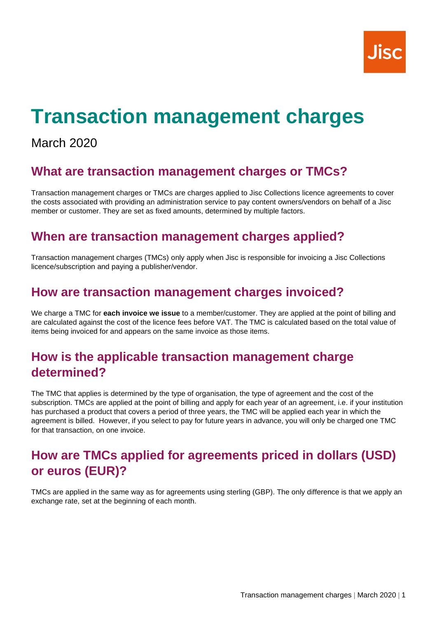# **Transaction management charges**

## March 2020

#### **What are transaction management charges or TMCs?**

Transaction management charges or TMCs are charges applied to Jisc Collections licence agreements to cover the costs associated with providing an administration service to pay content owners/vendors on behalf of a Jisc member or customer. They are set as fixed amounts, determined by multiple factors.

#### **When are transaction management charges applied?**

Transaction management charges (TMCs) only apply when Jisc is responsible for invoicing a Jisc Collections licence/subscription and paying a publisher/vendor.

#### **How are transaction management charges invoiced?**

We charge a TMC for **each invoice we issue** to a member/customer. They are applied at the point of billing and are calculated against the cost of the licence fees before VAT. The TMC is calculated based on the total value of items being invoiced for and appears on the same invoice as those items.

#### **How is the applicable transaction management charge determined?**

The TMC that applies is determined by the type of organisation, the type of agreement and the cost of the subscription. TMCs are applied at the point of billing and apply for each year of an agreement, i.e. if your institution has purchased a product that covers a period of three years, the TMC will be applied each year in which the agreement is billed. However, if you select to pay for future years in advance, you will only be charged one TMC for that transaction, on one invoice.

## **How are TMCs applied for agreements priced in dollars (USD) or euros (EUR)?**

TMCs are applied in the same way as for agreements using sterling (GBP). The only difference is that we apply an exchange rate, set at the beginning of each month.